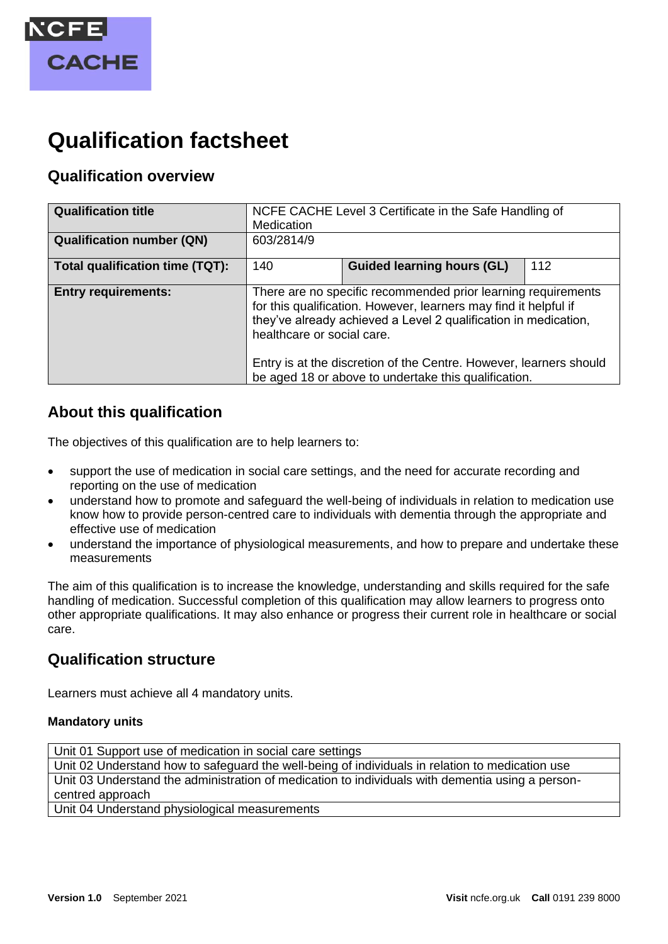

# **Qualification factsheet**

# **Qualification overview**

| <b>Qualification title</b>       | NCFE CACHE Level 3 Certificate in the Safe Handling of<br>Medication                                                                                                                                                                                                                                                                                             |                                   |     |
|----------------------------------|------------------------------------------------------------------------------------------------------------------------------------------------------------------------------------------------------------------------------------------------------------------------------------------------------------------------------------------------------------------|-----------------------------------|-----|
| <b>Qualification number (QN)</b> | 603/2814/9                                                                                                                                                                                                                                                                                                                                                       |                                   |     |
| Total qualification time (TQT):  | 140                                                                                                                                                                                                                                                                                                                                                              | <b>Guided learning hours (GL)</b> | 112 |
| <b>Entry requirements:</b>       | There are no specific recommended prior learning requirements<br>for this qualification. However, learners may find it helpful if<br>they've already achieved a Level 2 qualification in medication,<br>healthcare or social care.<br>Entry is at the discretion of the Centre. However, learners should<br>be aged 18 or above to undertake this qualification. |                                   |     |

# **About this qualification**

The objectives of this qualification are to help learners to:

- support the use of medication in social care settings, and the need for accurate recording and reporting on the use of medication
- understand how to promote and safeguard the well-being of individuals in relation to medication use know how to provide person-centred care to individuals with dementia through the appropriate and effective use of medication
- understand the importance of physiological measurements, and how to prepare and undertake these measurements

The aim of this qualification is to increase the knowledge, understanding and skills required for the safe handling of medication. Successful completion of this qualification may allow learners to progress onto other appropriate qualifications. It may also enhance or progress their current role in healthcare or social care.

## **Qualification structure**

Learners must achieve all 4 mandatory units.

#### **Mandatory units**

Unit 01 Support use of medication in social care settings Unit 02 Understand how to safeguard the well-being of individuals in relation to medication use Unit 03 Understand the administration of medication to individuals with dementia using a personcentred approach

Unit 04 Understand physiological measurements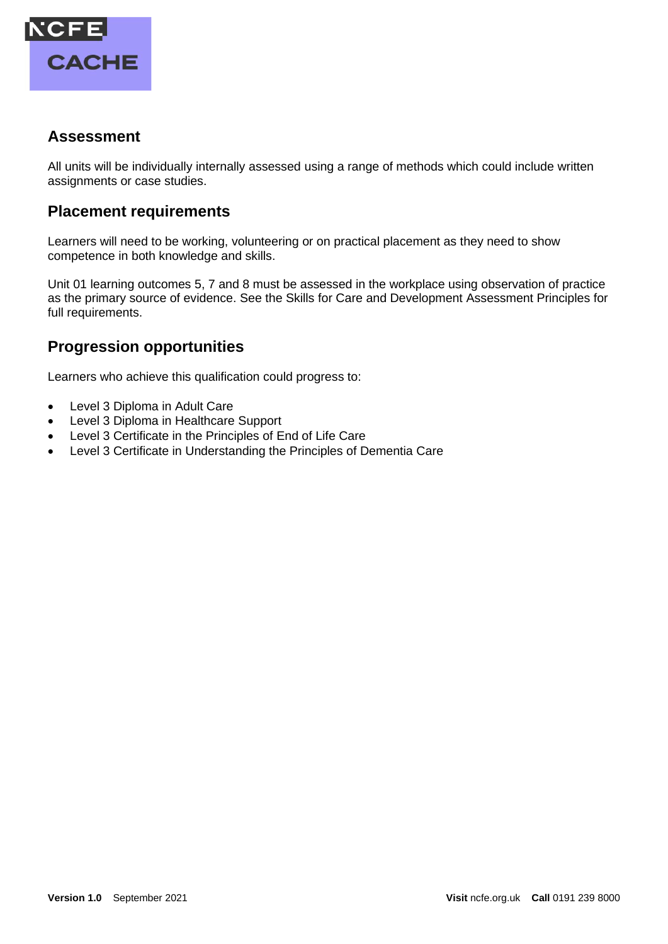

## **Assessment**

All units will be individually internally assessed using a range of methods which could include written assignments or case studies.

## **Placement requirements**

Learners will need to be working, volunteering or on practical placement as they need to show competence in both knowledge and skills.

Unit 01 learning outcomes 5, 7 and 8 must be assessed in the workplace using observation of practice as the primary source of evidence. See the Skills for Care and Development Assessment Principles for full requirements.

# **Progression opportunities**

Learners who achieve this qualification could progress to:

- Level 3 Diploma in Adult Care
- Level 3 Diploma in Healthcare Support
- Level 3 Certificate in the Principles of End of Life Care
- Level 3 Certificate in Understanding the Principles of Dementia Care